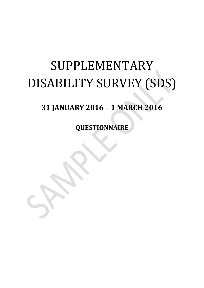# SUPPLEMENTARY DISABILITY SURVEY (SDS)

## **31 JANUARY 2016 – 1 MARCH 2016**

**QUESTIONNAIRE**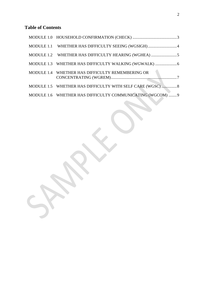## **Table of Contents**

<span id="page-1-0"></span>

| MODULE 1.1 WHETHER HAS DIFFICULTY SEEING (WGSIGH)4         |  |
|------------------------------------------------------------|--|
|                                                            |  |
|                                                            |  |
| MODULE 1.4 WHETHER HAS DIFFICULTY REMEMBERING OR           |  |
| MODULE 1.5 WHETHER HAS DIFFICULTY WITH SELF CARE (WGSC) 8  |  |
| MODULE 1.6 WHETHER HAS DIFFICULTY COMMUNICATING (WGCOM)  9 |  |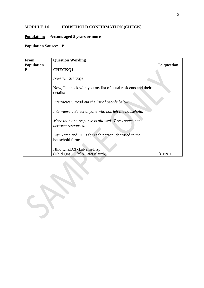#### **MODULE 1.0 HOUSEHOLD CONFIRMATION (CHECK)**

## **Population: Persons aged 5 years or more**

| <b>From</b>       | <b>Question Wording</b>                                                   |                   |
|-------------------|---------------------------------------------------------------------------|-------------------|
| <b>Population</b> |                                                                           | To question       |
| ${\bf P}$         | <b>CHECKQ1</b>                                                            |                   |
|                   | DisabID1.CHECKQ1                                                          |                   |
|                   | Now, I'll check with you my list of usual residents and their<br>details: |                   |
|                   | Interviewer: Read out the list of people below.                           |                   |
|                   | Interviewer: Select anyone who has left the household.                    |                   |
|                   | More than one response is allowed. Press space bar<br>between responses.  |                   |
|                   | List Name and DOB for each person identified in the<br>household form:    |                   |
|                   | Hhld.Qns.D2[x].aNameDisp<br>(Hhld.Qns.D3[x].xDateOfBirth)                 | $\rightarrow$ END |

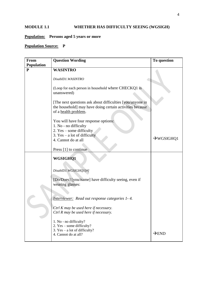#### <span id="page-3-0"></span>**MODULE 1.1 WHETHER HAS DIFFICULTY SEEING (WGSIGH)**

#### **Population: Persons aged 5 years or more**

| <b>From</b><br><b>Population</b> | <b>Question Wording</b>                                                                                                                                                     | To question            |
|----------------------------------|-----------------------------------------------------------------------------------------------------------------------------------------------------------------------------|------------------------|
| $\mathbf{P}$                     | <b>WASINTRO</b>                                                                                                                                                             |                        |
|                                  | DisabID1.WASINTRO                                                                                                                                                           |                        |
|                                  | (Loop for each person in household where CHECKQ1 is<br>unanswered)                                                                                                          |                        |
|                                  | [The next questions ask about difficulties [you/anyone in]<br>the household] may have doing certain activities because<br>of a health problem.                              |                        |
|                                  | You will have four response options:<br>1. No - no difficulty<br>2. Yes – some difficulty<br>3. $Yes - a lot of difficulty$<br>4. Cannot do at all<br>Press [1] to continue | $\rightarrow$ WGSIGHQ1 |
|                                  | WGSIGHQ1                                                                                                                                                                    |                        |
|                                  | DisabID1.WGSIGHQ1[#]<br>[Do/Does] [you/name] have difficulty seeing, even if<br>wearing glasses:                                                                            |                        |
|                                  | Interviewer: Read out response categories 1-4.<br>Ctrl K may be used here if necessary.<br>Ctrl R may be used here if necessary.                                            |                        |
|                                  | 1. No - no difficulty?<br>2. Yes – some difficulty?<br>3. $Yes - a lot of difficulty?$<br>4. Cannot do at all?                                                              | $\rightarrow$ END      |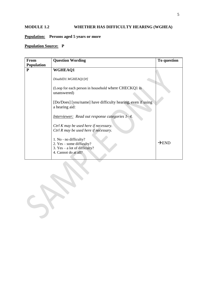## <span id="page-4-0"></span>**MODULE 1.2 WHETHER HAS DIFFICULTY HEARING (WGHEA)**

## **Population: Persons aged 5 years or more**

| <b>From</b>       | <b>Question Wording</b>                                                                                          | To question       |
|-------------------|------------------------------------------------------------------------------------------------------------------|-------------------|
| <b>Population</b> |                                                                                                                  |                   |
| ${\bf P}$         | <b>WGHEAQ1</b>                                                                                                   |                   |
|                   | DisabID1.WGHEAQ1[#]                                                                                              |                   |
|                   | (Loop for each person in household where CHECKQ1 is<br>unanswered)                                               |                   |
|                   | [Do/Does] [you/name] have difficulty hearing, even if using<br>a hearing aid:                                    |                   |
|                   | Interviewer: Read out response categories 1-4.                                                                   |                   |
|                   | Ctrl K may be used here if necessary.<br>Ctrl R may be used here if necessary.                                   |                   |
|                   | 1. No - no difficulty?<br>2. $Yes - some difficulty?$<br>3. $Yes - a lot of difficulty?$<br>4. Cannot do at all? | $\rightarrow$ END |

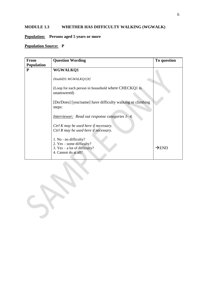## <span id="page-5-0"></span>**MODULE 1.3 WHETHER HAS DIFFICULTY WALKING (WGWALK)**

## **Population: Persons aged 5 years or more**

| <b>From</b>       | <b>Question Wording</b>                                                                                          | To question       |
|-------------------|------------------------------------------------------------------------------------------------------------------|-------------------|
| <b>Population</b> |                                                                                                                  |                   |
| ${\bf P}$         | <b>WGWALKQ1</b>                                                                                                  |                   |
|                   | DisabID1.WGWALKQ1[#]                                                                                             |                   |
|                   | (Loop for each person in household where CHECKQ1 is<br>unanswered)                                               |                   |
|                   | [Do/Does] [you/name] have difficulty walking or climbing<br>steps:                                               |                   |
|                   | Interviewer: Read out response categories 1-4.                                                                   |                   |
|                   | Ctrl K may be used here if necessary.<br>Ctrl R may be used here if necessary.                                   |                   |
|                   | 1. No - no difficulty?<br>2. $Yes - some difficulty?$<br>3. $Yes - a lot of difficulty?$<br>4. Cannot do at all? | $\rightarrow$ END |

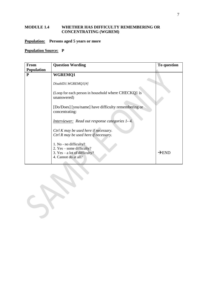#### <span id="page-6-0"></span>**MODULE 1.4 WHETHER HAS DIFFICULTY REMEMBERING OR CONCENTRATING (WGREM)**

#### **Population: Persons aged 5 years or more**

| <b>From</b>       | <b>Question Wording</b>                                                                                        | To question       |
|-------------------|----------------------------------------------------------------------------------------------------------------|-------------------|
| <b>Population</b> |                                                                                                                |                   |
| ${\bf P}$         | <b>WGREMQ1</b>                                                                                                 |                   |
|                   | DisabID1.WGREMQ1[#]                                                                                            |                   |
|                   | (Loop for each person in household where CHECKQ1 is<br>unanswered)                                             |                   |
|                   | [Do/Does] [you/name] have difficulty remembering or<br>concentrating:                                          |                   |
|                   | <i>Interviewer:</i> Read out response categories 1-4.                                                          |                   |
|                   | Ctrl K may be used here if necessary.<br>Ctrl R may be used here if necessary.                                 |                   |
|                   | 1. No - no difficulty?<br>2. Yes – some difficulty?<br>3. $Yes - a lot of difficulty?$<br>4. Cannot do at all? | $\rightarrow$ END |

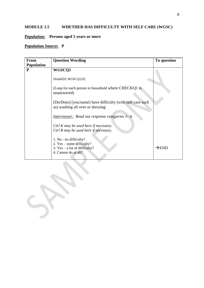## <span id="page-7-0"></span>**MODULE 1.5 WHETHER HAS DIFFICULTY WITH SELF CARE (WGSC)**

#### **Population: Persons aged 5 years or more**

| <b>From</b>       | <b>Question Wording</b>                                                                                          | To question       |
|-------------------|------------------------------------------------------------------------------------------------------------------|-------------------|
| <b>Population</b> |                                                                                                                  |                   |
| ${\bf P}$         | WGSCQ1                                                                                                           |                   |
|                   | DisabID1.WGSCQ1[#]                                                                                               |                   |
|                   | (Loop for each person in household where CHECKQ1 is<br>unanswered)                                               |                   |
|                   | [Do/Does] [you/name] have difficulty (with self-care such<br>as) washing all over or dressing:                   |                   |
|                   | Interviewer: Read out response categories 1-4.                                                                   |                   |
|                   | Ctrl K may be used here if necessary.<br>Ctrl R may be used here if necessary.                                   |                   |
|                   | 1. No - no difficulty?<br>2. $Yes - some difficulty?$<br>3. $Yes - a lot of difficulty?$<br>4. Cannot do at all? | $\rightarrow$ END |